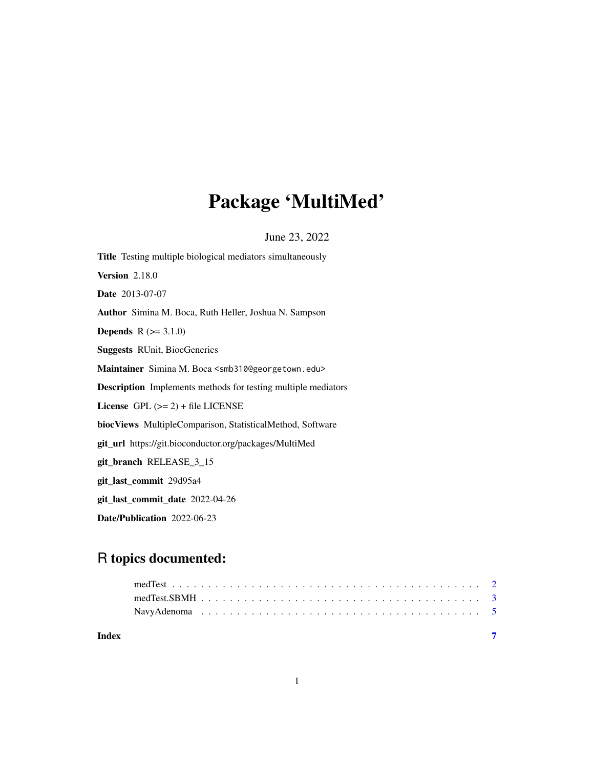## Package 'MultiMed'

June 23, 2022

| <b>Title</b> Testing multiple biological mediators simultaneously         |
|---------------------------------------------------------------------------|
| <b>Version</b> 2.18.0                                                     |
| <b>Date</b> 2013-07-07                                                    |
| Author Simina M. Boca, Ruth Heller, Joshua N. Sampson                     |
| <b>Depends</b> $R (= 3.1.0)$                                              |
| <b>Suggests RUnit, BiocGenerics</b>                                       |
| Maintainer Simina M. Boca <smb310@georgetown.edu></smb310@georgetown.edu> |
| <b>Description</b> Implements methods for testing multiple mediators      |
| License $GPL (= 2) + file LICENSE$                                        |
| biocViews MultipleComparison, StatisticalMethod, Software                 |
| <b>git_url</b> https://git.bioconductor.org/packages/MultiMed             |
| git_branch RELEASE_3_15                                                   |
| git_last_commit 29d95a4                                                   |
| git_last_commit_date 2022-04-26                                           |
| Date/Publication 2022-06-23                                               |

### R topics documented:

| Index |  |  |  |  |  |  |  |  |  |  |  |  |  |  |
|-------|--|--|--|--|--|--|--|--|--|--|--|--|--|--|
|       |  |  |  |  |  |  |  |  |  |  |  |  |  |  |
|       |  |  |  |  |  |  |  |  |  |  |  |  |  |  |
|       |  |  |  |  |  |  |  |  |  |  |  |  |  |  |

1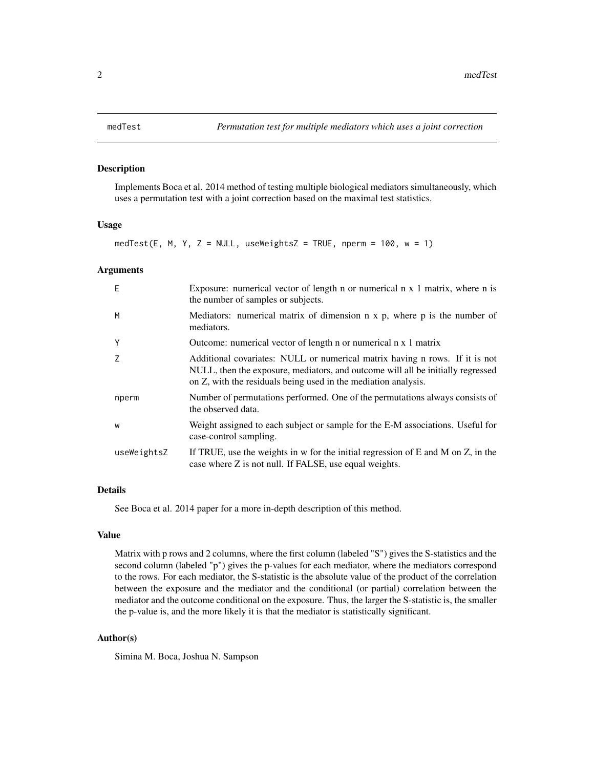#### <span id="page-1-0"></span>Description

Implements Boca et al. 2014 method of testing multiple biological mediators simultaneously, which uses a permutation test with a joint correction based on the maximal test statistics.

#### Usage

medTest(E, M, Y, Z = NULL, useWeightsZ = TRUE, nperm =  $100$ , w =  $1$ )

#### Arguments

| E           | Exposure: numerical vector of length $n$ or numerical $n \times 1$ matrix, where $n$ is<br>the number of samples or subjects.                                                                                                    |
|-------------|----------------------------------------------------------------------------------------------------------------------------------------------------------------------------------------------------------------------------------|
| M           | Mediators: numerical matrix of dimension $n \times p$ , where $p$ is the number of<br>mediators.                                                                                                                                 |
| Y           | Outcome: numerical vector of length n or numerical n x 1 matrix                                                                                                                                                                  |
| 7           | Additional covariates: NULL or numerical matrix having n rows. If it is not<br>NULL, then the exposure, mediators, and outcome will all be initially regressed<br>on Z, with the residuals being used in the mediation analysis. |
| nperm       | Number of permutations performed. One of the permutations always consists of<br>the observed data.                                                                                                                               |
| W           | Weight assigned to each subject or sample for the E-M associations. Useful for<br>case-control sampling.                                                                                                                         |
| useWeightsZ | If TRUE, use the weights in w for the initial regression of E and M on $Z$ , in the<br>case where Z is not null. If FALSE, use equal weights.                                                                                    |

#### Details

See Boca et al. 2014 paper for a more in-depth description of this method.

#### Value

Matrix with p rows and 2 columns, where the first column (labeled "S") gives the S-statistics and the second column (labeled "p") gives the p-values for each mediator, where the mediators correspond to the rows. For each mediator, the S-statistic is the absolute value of the product of the correlation between the exposure and the mediator and the conditional (or partial) correlation between the mediator and the outcome conditional on the exposure. Thus, the larger the S-statistic is, the smaller the p-value is, and the more likely it is that the mediator is statistically significant.

#### Author(s)

Simina M. Boca, Joshua N. Sampson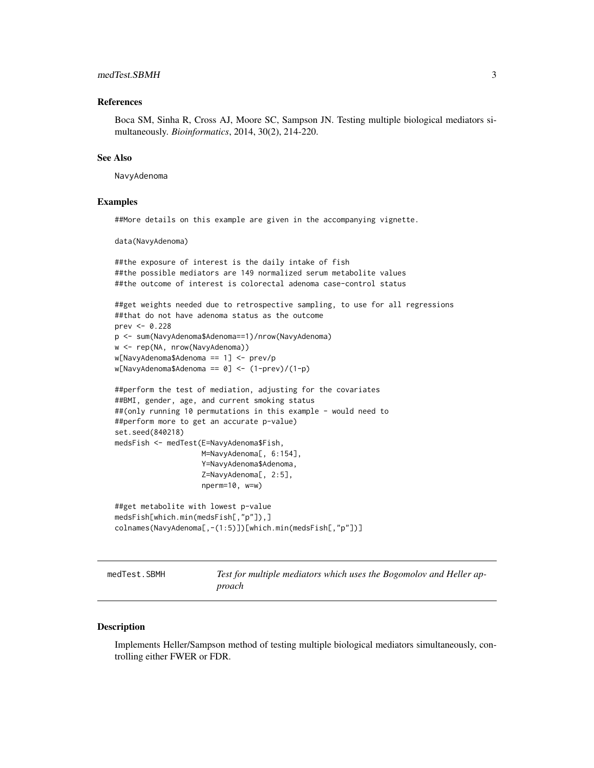#### <span id="page-2-0"></span>medTest.SBMH 3

#### References

Boca SM, Sinha R, Cross AJ, Moore SC, Sampson JN. Testing multiple biological mediators simultaneously. *Bioinformatics*, 2014, 30(2), 214-220.

#### See Also

NavyAdenoma

#### Examples

##More details on this example are given in the accompanying vignette.

data(NavyAdenoma)

```
##the exposure of interest is the daily intake of fish
##the possible mediators are 149 normalized serum metabolite values
##the outcome of interest is colorectal adenoma case-control status
##get weights needed due to retrospective sampling, to use for all regressions
##that do not have adenoma status as the outcome
prev <- 0.228
p <- sum(NavyAdenoma$Adenoma==1)/nrow(NavyAdenoma)
w <- rep(NA, nrow(NavyAdenoma))
w[NavyAdenoma$Adenoma == 1] <- prev/p
w[NavyAdenoma$Adenoma == 0] <- (1-prev)/(1-p)
##perform the test of mediation, adjusting for the covariates
##BMI, gender, age, and current smoking status
##(only running 10 permutations in this example - would need to
##perform more to get an accurate p-value)
set.seed(840218)
medsFish <- medTest(E=NavyAdenoma$Fish,
                    M=NavyAdenoma[, 6:154],
                    Y=NavyAdenoma$Adenoma,
                    Z=NavyAdenoma[, 2:5],
                    nperm=10, w=w)
```

```
##get metabolite with lowest p-value
medsFish[which.min(medsFish[,"p"]),]
colnames(NavyAdenoma[,-(1:5)])[which.min(medsFish[,"p"])]
```
medTest.SBMH *Test for multiple mediators which uses the Bogomolov and Heller approach*

#### **Description**

Implements Heller/Sampson method of testing multiple biological mediators simultaneously, controlling either FWER or FDR.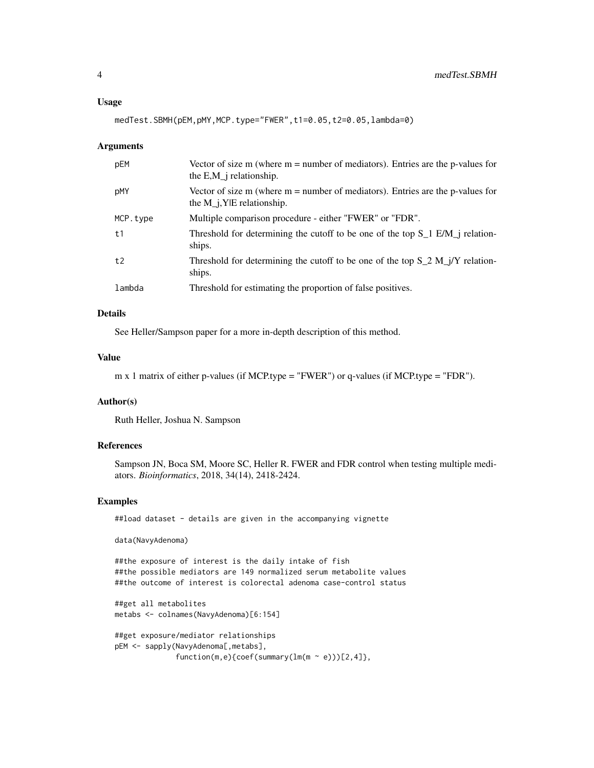#### Usage

medTest.SBMH(pEM,pMY,MCP.type="FWER",t1=0.05,t2=0.05,lambda=0)

#### Arguments

| pEM      | Vector of size m (where $m =$ number of mediators). Entries are the p-values for<br>the $E,M_i$ relationship.     |
|----------|-------------------------------------------------------------------------------------------------------------------|
| pMY      | Vector of size m (where $m =$ number of mediators). Entries are the p-values for<br>the $M_i$ , Y E relationship. |
| MCP.type | Multiple comparison procedure - either "FWER" or "FDR".                                                           |
| t1       | Threshold for determining the cutoff to be one of the top $S_1$ E/M <sub>I</sub> relation-<br>ships.              |
| t2       | Threshold for determining the cutoff to be one of the top $S_2 M_j/Y$ relation-<br>ships.                         |
| lambda   | Threshold for estimating the proportion of false positives.                                                       |

#### Details

See Heller/Sampson paper for a more in-depth description of this method.

#### Value

```
m x 1 matrix of either p-values (if MCP.type = "FWER") or q-values (if MCP.type = "FDR").
```
#### Author(s)

Ruth Heller, Joshua N. Sampson

#### References

Sampson JN, Boca SM, Moore SC, Heller R. FWER and FDR control when testing multiple mediators. *Bioinformatics*, 2018, 34(14), 2418-2424.

#### Examples

```
##load dataset - details are given in the accompanying vignette
```
data(NavyAdenoma)

##the exposure of interest is the daily intake of fish ##the possible mediators are 149 normalized serum metabolite values ##the outcome of interest is colorectal adenoma case-control status

```
##get all metabolites
metabs <- colnames(NavyAdenoma)[6:154]
```

```
##get exposure/mediator relationships
pEM <- sapply(NavyAdenoma[,metabs],
             function(m,e){coef(summary(lm(m ~ e)))[2,4]},
```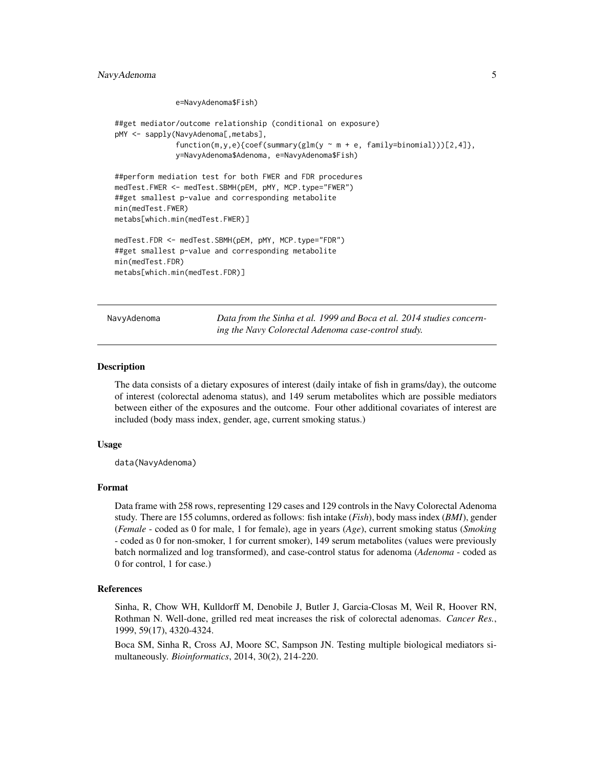#### <span id="page-4-0"></span>NavyAdenoma 5

```
e=NavyAdenoma$Fish)
```

```
##get mediator/outcome relationship (conditional on exposure)
pMY <- sapply(NavyAdenoma[,metabs],
              function(m,y,e){coef(summary(glm(y \sim m + e, family=binomial)))[2,4]},
              y=NavyAdenoma$Adenoma, e=NavyAdenoma$Fish)
##perform mediation test for both FWER and FDR procedures
medTest.FWER <- medTest.SBMH(pEM, pMY, MCP.type="FWER")
##get smallest p-value and corresponding metabolite
min(medTest.FWER)
metabs[which.min(medTest.FWER)]
medTest.FDR <- medTest.SBMH(pEM, pMY, MCP.type="FDR")
##get smallest p-value and corresponding metabolite
min(medTest.FDR)
metabs[which.min(medTest.FDR)]
```
NavyAdenoma *Data from the Sinha et al. 1999 and Boca et al. 2014 studies concerning the Navy Colorectal Adenoma case-control study.*

#### Description

The data consists of a dietary exposures of interest (daily intake of fish in grams/day), the outcome of interest (colorectal adenoma status), and 149 serum metabolites which are possible mediators between either of the exposures and the outcome. Four other additional covariates of interest are included (body mass index, gender, age, current smoking status.)

#### Usage

data(NavyAdenoma)

#### Format

Data frame with 258 rows, representing 129 cases and 129 controls in the Navy Colorectal Adenoma study. There are 155 columns, ordered as follows: fish intake (*Fish*), body mass index (*BMI*), gender (*Female* - coded as 0 for male, 1 for female), age in years (*Age*), current smoking status (*Smoking* - coded as 0 for non-smoker, 1 for current smoker), 149 serum metabolites (values were previously batch normalized and log transformed), and case-control status for adenoma (*Adenoma* - coded as 0 for control, 1 for case.)

#### References

Sinha, R, Chow WH, Kulldorff M, Denobile J, Butler J, Garcia-Closas M, Weil R, Hoover RN, Rothman N. Well-done, grilled red meat increases the risk of colorectal adenomas. *Cancer Res.*, 1999, 59(17), 4320-4324.

Boca SM, Sinha R, Cross AJ, Moore SC, Sampson JN. Testing multiple biological mediators simultaneously. *Bioinformatics*, 2014, 30(2), 214-220.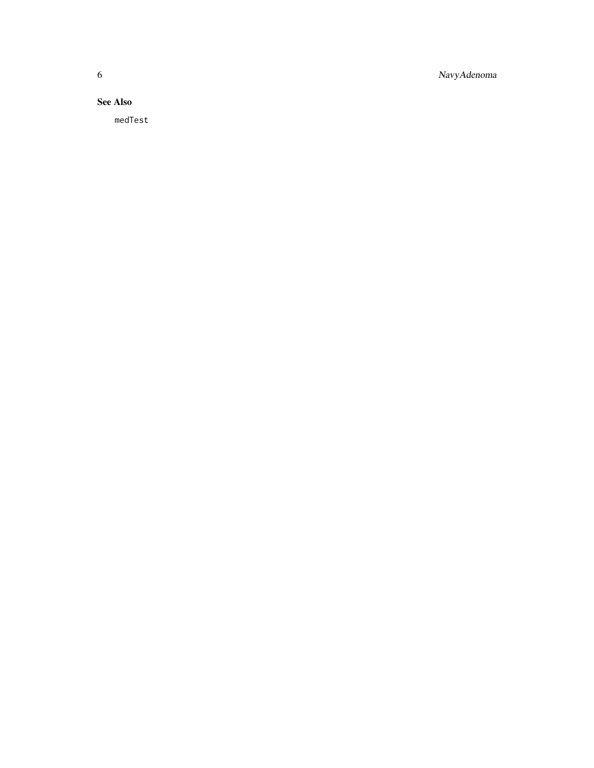6 NavyAdenoma

### See Also

medTest